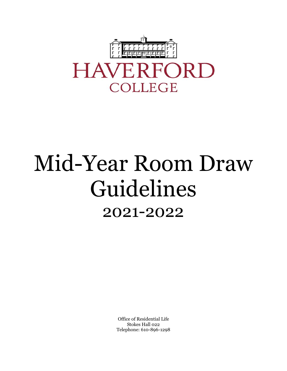

# Mid-Year Room Draw Guidelines 2021-2022

Office of Residential Life Stokes Hall 022 Telephone: 610-896-1298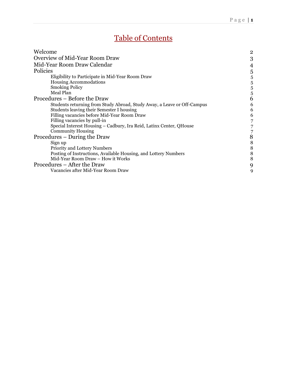## Table of Contents

| 3<br>4<br>5<br>Eligibility to Participate in Mid-Year Room Draw<br>5<br><b>Housing Accommodations</b><br>5<br><b>Smoking Policy</b><br>5<br>Meal Plan<br>5<br>6<br>Procedures – Before the Draw<br>Students returning from Study Abroad, Study Away, a Leave or Off-Campus<br>6<br>Students leaving their Semester I housing<br>6<br>Filling vacancies before Mid-Year Room Draw<br>6<br>Filling vacancies by pull-in<br>7<br>Special Interest Housing - Cadbury, Ira Reid, Latinx Center, QHouse<br><b>Community Housing</b><br>$\frac{7}{8}$<br>Procedures – During the Draw<br>$\begin{array}{c} 8 \\ 8 \end{array}$<br>Sign up<br>Priority and Lottery Numbers<br>Posting of Instructions, Available Housing, and Lottery Numbers<br>8<br>Mid-Year Room Draw - How it Works<br>8<br>Procedures – After the Draw<br>9<br>Vacancies after Mid-Year Room Draw<br>9 | Welcome                        | $\overline{2}$ |
|---------------------------------------------------------------------------------------------------------------------------------------------------------------------------------------------------------------------------------------------------------------------------------------------------------------------------------------------------------------------------------------------------------------------------------------------------------------------------------------------------------------------------------------------------------------------------------------------------------------------------------------------------------------------------------------------------------------------------------------------------------------------------------------------------------------------------------------------------------------------|--------------------------------|----------------|
|                                                                                                                                                                                                                                                                                                                                                                                                                                                                                                                                                                                                                                                                                                                                                                                                                                                                     | Overview of Mid-Year Room Draw |                |
|                                                                                                                                                                                                                                                                                                                                                                                                                                                                                                                                                                                                                                                                                                                                                                                                                                                                     | Mid-Year Room Draw Calendar    |                |
|                                                                                                                                                                                                                                                                                                                                                                                                                                                                                                                                                                                                                                                                                                                                                                                                                                                                     | Policies                       |                |
|                                                                                                                                                                                                                                                                                                                                                                                                                                                                                                                                                                                                                                                                                                                                                                                                                                                                     |                                |                |
|                                                                                                                                                                                                                                                                                                                                                                                                                                                                                                                                                                                                                                                                                                                                                                                                                                                                     |                                |                |
|                                                                                                                                                                                                                                                                                                                                                                                                                                                                                                                                                                                                                                                                                                                                                                                                                                                                     |                                |                |
|                                                                                                                                                                                                                                                                                                                                                                                                                                                                                                                                                                                                                                                                                                                                                                                                                                                                     |                                |                |
|                                                                                                                                                                                                                                                                                                                                                                                                                                                                                                                                                                                                                                                                                                                                                                                                                                                                     |                                |                |
|                                                                                                                                                                                                                                                                                                                                                                                                                                                                                                                                                                                                                                                                                                                                                                                                                                                                     |                                |                |
|                                                                                                                                                                                                                                                                                                                                                                                                                                                                                                                                                                                                                                                                                                                                                                                                                                                                     |                                |                |
|                                                                                                                                                                                                                                                                                                                                                                                                                                                                                                                                                                                                                                                                                                                                                                                                                                                                     |                                |                |
|                                                                                                                                                                                                                                                                                                                                                                                                                                                                                                                                                                                                                                                                                                                                                                                                                                                                     |                                |                |
|                                                                                                                                                                                                                                                                                                                                                                                                                                                                                                                                                                                                                                                                                                                                                                                                                                                                     |                                |                |
|                                                                                                                                                                                                                                                                                                                                                                                                                                                                                                                                                                                                                                                                                                                                                                                                                                                                     |                                |                |
|                                                                                                                                                                                                                                                                                                                                                                                                                                                                                                                                                                                                                                                                                                                                                                                                                                                                     |                                |                |
|                                                                                                                                                                                                                                                                                                                                                                                                                                                                                                                                                                                                                                                                                                                                                                                                                                                                     |                                |                |
|                                                                                                                                                                                                                                                                                                                                                                                                                                                                                                                                                                                                                                                                                                                                                                                                                                                                     |                                |                |
|                                                                                                                                                                                                                                                                                                                                                                                                                                                                                                                                                                                                                                                                                                                                                                                                                                                                     |                                |                |
|                                                                                                                                                                                                                                                                                                                                                                                                                                                                                                                                                                                                                                                                                                                                                                                                                                                                     |                                |                |
|                                                                                                                                                                                                                                                                                                                                                                                                                                                                                                                                                                                                                                                                                                                                                                                                                                                                     |                                |                |
|                                                                                                                                                                                                                                                                                                                                                                                                                                                                                                                                                                                                                                                                                                                                                                                                                                                                     |                                |                |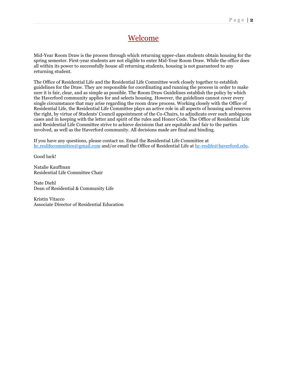### Welcome

Mid-Year Room Draw is the process through which returning upper-class students obtain housing for the spring semester. First-year students are not eligible to enter Mid-Year Room Draw. While the office does all within its power to successfully house all returning students, housing is not guaranteed to any returning student.

The Office of Residential Life and the Residential Life Committee work closely together to establish guidelines for the Draw. They are responsible for coordinating and running the process in order to make sure it is fair, clear, and as simple as possible. The Room Draw Guidelines establish the policy by which the Haverford community applies for and selects housing. However, the guidelines cannot cover every single circumstance that may arise regarding the room draw process. Working closely with the Office of Residential Life, the Residential Life Committee plays an active role in all aspects of housing and reserves the right, by virtue of Students' Council appointment of the Co-Chairs, to adjudicate over such ambiguous cases and in keeping with the letter and spirit of the rules and Honor Code. The Office of Residential Life and Residential Life Committee strive to achieve decisions that are equitable and fair to the parties involved, as well as the Haverford community. All decisions made are final and binding.

If you have any questions, please contact us. Email the Residential Life Committee at [hc.reslifecommittee@gmail.com](mailto:hc.reslifecommittee@gmail.com) and/or email the Office of Residential Life at [hc-reslife@haverford.edu.](mailto:hc-reslife@haverford.edu)

Good luck!

Natalie Kauffman Residential Life Committee Chair

Nate Diehl Dean of Residential & Community Life

Kristin Vitacco Associate Director of Residential Education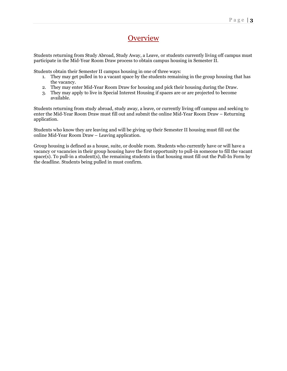## **Overview**

Students returning from Study Abroad, Study Away, a Leave, or students currently living off campus must participate in the Mid-Year Room Draw process to obtain campus housing in Semester II.

Students obtain their Semester II campus housing in one of three ways:

- 1. They may get pulled in to a vacant space by the students remaining in the group housing that has the vacancy.
- 2. They may enter Mid-Year Room Draw for housing and pick their housing during the Draw.
- 3. They may apply to live in Special Interest Housing if spaces are or are projected to become available.

Students returning from study abroad, study away, a leave, or currently living off campus and seeking to enter the Mid-Year Room Draw must fill out and submit the online Mid-Year Room Draw – Returning application.

Students who know they are leaving and will be giving up their Semester II housing must fill out the online Mid-Year Room Draw – Leaving application.

Group housing is defined as a house, suite, or double room. Students who currently have or will have a vacancy or vacancies in their group housing have the first opportunity to pull-in someone to fill the vacant space(s). To pull-in a student(s), the remaining students in that housing must fill out the Pull-In Form by the deadline. Students being pulled in must confirm.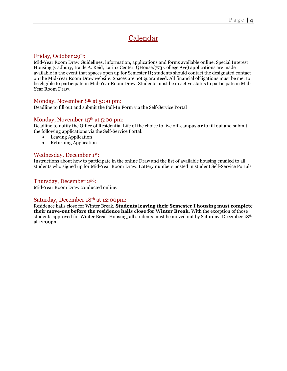## Calendar

#### Friday, October 29th:

Mid-Year Room Draw Guidelines, information, applications and forms available online. Special Interest Housing (Cadbury, Ira de A. Reid, Latinx Center, QHouse/773 College Ave) applications are made available in the event that spaces open up for Semester II; students should contact the designated contact on the Mid-Year Room Draw website. Spaces are not guaranteed. All financial obligations must be met to be eligible to participate in Mid-Year Room Draw. Students must be in active status to participate in Mid-Year Room Draw.

#### Monday, November 8<sup>th</sup> at 5:00 pm:

Deadline to fill out and submit the Pull-In Form via the Self-Service Portal

#### Monday, November 15<sup>th</sup> at 5:00 pm:

Deadline to notify the Office of Residential Life of the choice to live off-campus **or** to fill out and submit the following applications via the Self-Service Portal:

- Leaving Application
- Returning Application

#### Wednesday, December 1st:

Instructions about how to participate in the online Draw and the list of available housing emailed to all students who signed up for Mid-Year Room Draw. Lottery numbers posted in student Self-Service Portals.

#### Thursday, December 2nd:

Mid-Year Room Draw conducted online.

#### Saturday, December 18th at 12:00pm:

Residence halls close for Winter Break. **Students leaving their Semester I housing must complete their move-out before the residence halls close for Winter Break.** With the exception of those students approved for Winter Break Housing, all students must be moved out by Saturday, December 18th at 12:00pm.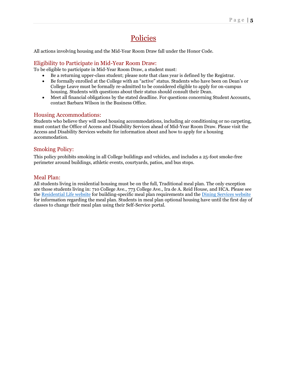## Policies

All actions involving housing and the Mid-Year Room Draw fall under the Honor Code.

#### Eligibility to Participate in Mid-Year Room Draw:

To be eligible to participate in Mid-Year Room Draw, a student must:

- Be a returning upper-class student; please note that class year is defined by the Registrar.
- Be formally enrolled at the College with an "active" status. Students who have been on Dean's or College Leave must be formally re-admitted to be considered eligible to apply for on-campus housing. Students with questions about their status should consult their Dean.
- Meet all financial obligations by the stated deadline. For questions concerning Student Accounts, contact Barbara Wilson in the Business Office.

#### Housing Accommodations:

Students who believe they will need housing accommodations, including air conditioning or no carpeting, must contact the Office of Access and Disability Services ahead of Mid-Year Room Draw. Please visit the Access and Disability Services website for information about and how to apply for a housing accommodation.

#### Smoking Policy:

This policy prohibits smoking in all College buildings and vehicles, and includes a 25-foot smoke-free perimeter around buildings, athletic events, courtyards, patios, and bus stops.

#### Meal Plan:

All students living in residential housing must be on the full, Traditional meal plan. The only exception are those students living in: 710 College Ave., 773 College Ave., Ira de A. Reid House, and HCA. Please see th[e Residential Life website](https://www.haverford.edu/residential-life/residence-halls) for building-specific meal plan requirements and th[e Dining Services website](https://www.haverford.edu/dining-services/meal-plan-prices) for information regarding the meal plan. Students in meal plan optional housing have until the first day of classes to change their meal plan using their Self-Service portal.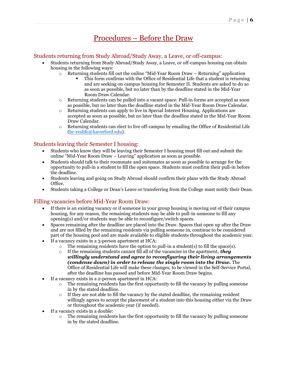## Procedures – Before the Draw

#### Students returning from Study Abroad/Study Away, a Leave, or off-campus:

- Students returning from Study Abroad/Study Away, a Leave, or off-campus housing can obtain housing in the following ways:
	- $\circ$  Returning students fill out the online "Mid-Year Room Draw Returning" application
		- This form confirms with the Office of Residential Life that a student is returning and are seeking on campus housing for Semester II. Students are asked to do so as soon as possible, but no later than by the deadline stated in the Mid-Year Room Draw Calendar.
	- o Returning students can be pulled into a vacant space. Pull-in forms are accepted as soon as possible, but no later than the deadline stated in the Mid-Year Room Draw Calendar.
	- o Returning students can apply to live in Special Interest Housing. Applications are accepted as soon as possible, but no later than the deadline stated in the Mid-Year Room Draw Calendar.
	- o Returning students can elect to live off-campus by emailing the Office of Residential Life [\(hc-reslife@haverford.edu\)](mailto:hc-reslife@haverford.edu).

#### Students leaving their Semester I housing:

- Students who know they will be leaving their Semester I housing must fill out and submit the online "Mid-Year Room Draw – Leaving" application as soon as possible.
- Students should talk to their roommate and suitemates as soon as possible to arrange for the opportunity to pull-in a student to fill the open space. Students must confirm their pull-in before the deadline.
- Students leaving and going on Study Abroad should confirm their plans with the Study Abroad Office.
- Students taking a College or Dean's Leave or transferring from the College must notify their Dean.

#### Filling vacancies before Mid-Year Room Draw:

- If there is an existing vacancy or if someone in your group housing is moving out of their campus housing, for any reason, the remaining students may be able to pull-in someone to fill any opening(s) and/or students may be able to reconfigure/switch spaces.
- Spaces remaining after the deadline are placed into the Draw. Spaces that open up after the Draw and are not filled by the remaining residents via pulling someone in, continue to be considered part of the housing pool and are made available to eligible students throughout the academic year.
- If a vacancy exists in a 3-person apartment at HCA:
	- $\circ$  The remaining residents have the option to pull-in a student(s) to fill the space(s).
		- o If the remaining students cannot fill all of the vacancies in the apartment, *they willingly understand and agree to reconfiguring their living arrangements (condense down) in order to release the single room into the Draw.* The Office of Residential Life will make these changes, to be viewed in the Self-Service Portal, after the deadline has passed and before Mid-Year Room Draw begins.
- If a vacancy exists in a 2-person apartment in HCA:
	- $\circ$  The remaining residents has the first opportunity to fill the vacancy by pulling someone in by the stated deadline.
	- $\circ$  If they are not able to fill the vacancy by the stated deadline, the remaining resident willingly agrees to accept the placement of a student into this housing either via the Draw or throughout the academic year (if needed).
- If a vacancy exists in a double:
	- $\circ$  The remaining residents has the first opportunity to fill the vacancy by pulling someone in by the stated deadline.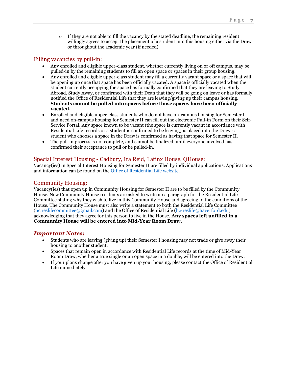$\circ$  If they are not able to fill the vacancy by the stated deadline, the remaining resident willingly agrees to accept the placement of a student into this housing either via the Draw or throughout the academic year (if needed).

#### Filling vacancies by pull-in:

- Any enrolled and eligible upper-class student, whether currently living on or off campus, may be pulled-in by the remaining students to fill an open space or spaces in their group housing.
- Any enrolled and eligible upper-class student may fill a currently vacant space or a space that will be opening up once that space has been officially vacated. A space is officially vacated when the student currently occupying the space has formally confirmed that they are leaving to Study Abroad, Study Away, or confirmed with their Dean that they will be going on leave or has formally notified the Office of Residential Life that they are leaving/giving up their campus housing. **Students cannot be pulled into spaces before those spaces have been officially vacated.**
- Enrolled and eligible upper-class students who do not have on-campus housing for Semester I and need on-campus housing for Semester II can fill out the electronic Pull-in Form on their Self-Service Portal. Any space known to be vacant (the space is currently vacant in accordance with Residential Life records or a student is confirmed to be leaving) is placed into the Draw - a student who chooses a space in the Draw is confirmed as having that space for Semester II.
- The pull-in process is not complete, and cannot be finalized, until everyone involved has confirmed their acceptance to pull or be pulled-in.

#### Special Interest Housing - Cadbury, Ira Reid, Latinx House, QHouse:

Vacancy(ies) in Special Interest Housing for Semester II are filled by individual applications. Applications and information can be found on the [Office of Residential Life website.](https://www.haverford.edu/residential-life/upperclass-housing/mid-year-room-draw)

#### Community Housing:

Vacancy(ies) that open up in Community Housing for Semester II are to be filled by the Community House. New Community House residents are asked to write up a paragraph for the Residential Life Committee stating why they wish to live in this Community House and agreeing to the conditions of the House. The Community House must also write a statement to both the Residential Life Committee [\(hc.reslifecommittee@gmail.com\)](mailto:hc.reslifecommittee@gmail.com?subject=Mid-Year%20Room%20Draw%20Question) and the Office of Residential Life [\(hc-reslife@haverford.edu\)](mailto:hc-reslife@haverford.edu) acknowledging that they agree for this person to live in the House. **Any spaces left unfilled in a Community House will be entered into Mid-Year Room Draw.**

#### *Important Notes:*

- Students who are leaving (giving up) their Semester I housing may not trade or give away their housing to another student.
- Spaces that remain open in accordance with Residential Life records at the time of Mid-Year Room Draw, whether a true single or an open space in a double, will be entered into the Draw.
- If your plans change after you have given up your housing, please contact the Office of Residential Life immediately.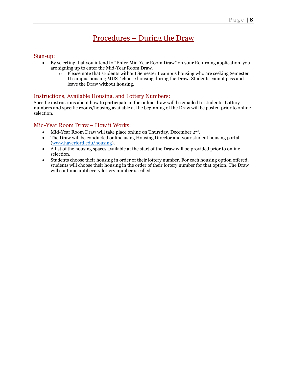## Procedures – During the Draw

#### Sign-up:

- By selecting that you intend to "Enter Mid-Year Room Draw" on your Returning application, you are signing up to enter the Mid-Year Room Draw.
	- $\circ$  Please note that students without Semester I campus housing who are seeking Semester II campus housing MUST choose housing during the Draw. Students cannot pass and leave the Draw without housing.

#### Instructions, Available Housing, and Lottery Numbers:

Specific instructions about how to participate in the online draw will be emailed to students. Lottery numbers and specific rooms/housing available at the beginning of the Draw will be posted prior to online selection.

#### Mid-Year Room Draw – How it Works:

- Mid-Year Room Draw will take place online on Thursday, December  $2<sup>nd</sup>$ .
- The Draw will be conducted online using Housing Director and your student housing portal [\(www.haverford.edu/housing\)](http://www.haverford.edu/housing).
- A list of the housing spaces available at the start of the Draw will be provided prior to online selection.
- Students choose their housing in order of their lottery number. For each housing option offered, students will choose their housing in the order of their lottery number for that option. The Draw will continue until every lottery number is called.